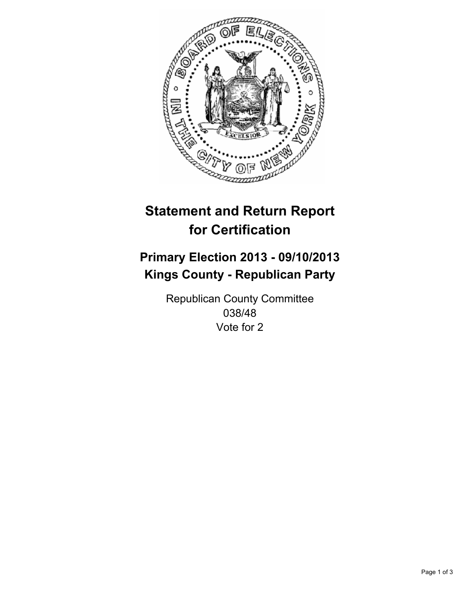

# **Statement and Return Report for Certification**

# **Primary Election 2013 - 09/10/2013 Kings County - Republican Party**

Republican County Committee 038/48 Vote for 2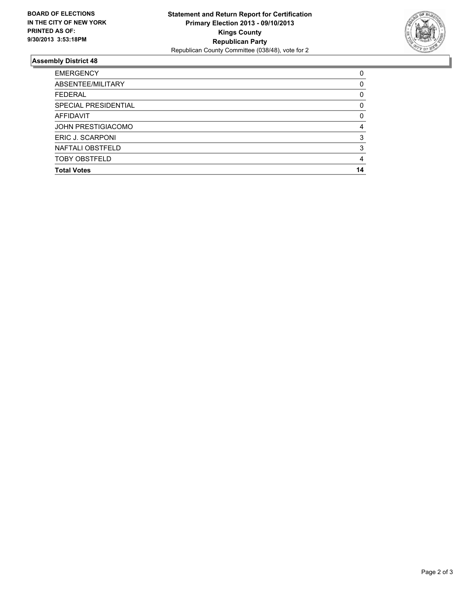

## **Assembly District 48**

| <b>EMERGENCY</b>          | 0        |
|---------------------------|----------|
| ABSENTEE/MILITARY         | 0        |
| <b>FEDERAL</b>            | 0        |
| SPECIAL PRESIDENTIAL      | 0        |
| AFFIDAVIT                 | $\Omega$ |
| <b>JOHN PRESTIGIACOMO</b> | 4        |
| ERIC J. SCARPONI          | 3        |
| NAFTALI OBSTFELD          | 3        |
| <b>TOBY OBSTFELD</b>      | 4        |
| <b>Total Votes</b>        | 14       |